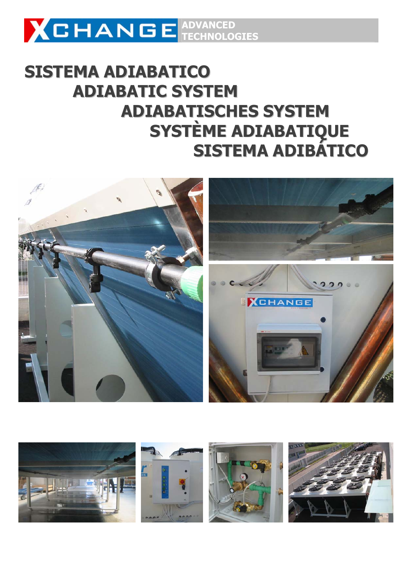

# **SISTEMA ADIABATICO ADIABATIC SYSTEM ADIABATISCHES SYSTEM SYSTÈME ADIABATIQUE SISTEMA ADIBÁTICO**



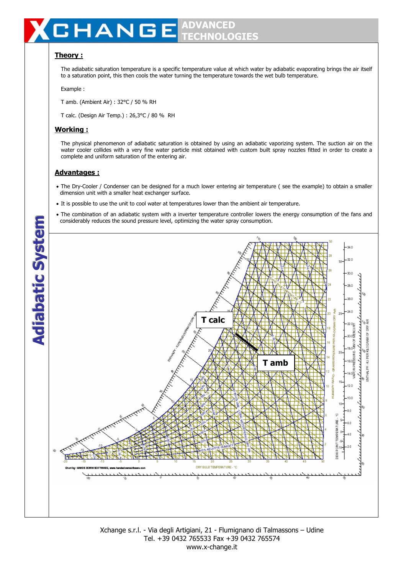# **ADVANCED**  HANGE **TECHNOLOGIES**

# **Theory :**

The adiabatic saturation temperature is a specific temperature value at which water by adiabatic evaporating brings the air itself to a saturation point, this then cools the water turning the temperature towards the wet bulb temperature.

Example :

T amb. (Ambient Air) : 32°C / 50 % RH

T calc. (Design Air Temp.) : 26,3°C / 80 % RH

# **Working :**

The physical phenomenon of adiabatic saturation is obtained by using an adiabatic vaporizing system. The suction air on the water cooler collides with a very fine water particle mist obtained with custom built spray nozzles fitted in order to create a complete and uniform saturation of the entering air.

# **Advantages :**

- The Dry-Cooler / Condenser can be designed for a much lower entering air temperature ( see the example) to obtain a smaller dimension unit with a smaller heat exchanger surface.
- It is possible to use the unit to cool water at temperatures lower than the ambient air temperature.
- The combination of an adiabatic system with a inverter temperature controller lowers the energy consumption of the fans and considerably reduces the sound pressure level, optimizing the water spray consumption.



Xchange s.r.l. - Via degli Artigiani, 21 - Flumignano di Talmassons – Udine Tel. +39 0432 765533 Fax +39 0432 765574 www.x-change.it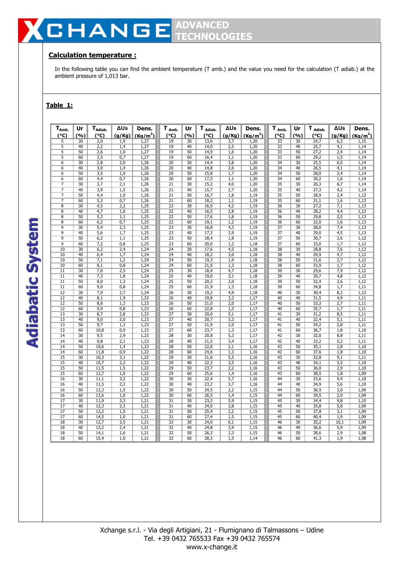# **CHANGE ADVANCED TECHNOLOGIES**

# **Calculation temperature :**

In the following table you can find the ambient temperature (T amb.) and the value you need for the calculation (T adiab.) at the ambient pressure of 1,013 bar.

# **Table 1:**

| $T_{Amb}$       | Ur              | T <sub>Adiab.</sub> | ΔUs              | Dens.        | $T_{Amb}$                          | Ur       | T Adiab.     | ΔUs              | Dens.                | T Amb.                | Ur       | $T_{Adiab.}$      | ΔUs              | Dens.                |
|-----------------|-----------------|---------------------|------------------|--------------|------------------------------------|----------|--------------|------------------|----------------------|-----------------------|----------|-------------------|------------------|----------------------|
| (°C)            | (%)             | (°C)                | (g/Kg)           | $(Ka/m^3)$   | (°C)                               | (%)      | (°C)         | (g/Kg)           | (Ka/m <sup>3</sup> ) | (°C)                  | (%)      | (°C)              | (g/Kg)           | (Ka/m <sup>3</sup> ) |
| $\overline{5}$  | 30              | 2,0                 | 1,9              | 1,27         | 19                                 | 30       | 13,6         | 3,7              | 1,20                 | 33                    | 30       | 24,7              | 6,3              | 1,15                 |
| 5               | 40              | 2,2                 | 1,4              | 1,27         | 19                                 | 40       | 14,0         | 2,5              | 1,20                 | $\overline{33}$       | 40       | 25,7              | 4,1              | 1,14                 |
| 5               | 50              | 2,6                 | 1,0              | 1,27         | 19                                 | 50       | 14,9         | 1,6              | 1,20                 | 33                    | 50       | 27,2              | 2,4              | 1,14                 |
| 5               | 60              | 3,5                 | 0,7              | 1,27         | 19                                 | 60       | 16,4         | 1,1              | 1,20                 | $\overline{33}$       | 60       | 29,2              | 1,5              | 1,14                 |
| 6               | 30              | 2,8                 | 2,0              | 1,26         | 20                                 | 30       | 14,4         | 3,8              | 1,20                 | 34                    | 30       | 25,5              | 6,5              | 1,14                 |
| 6               | 40              | 3,0                 | 1,4              | 1,26         | 20                                 | 40       | 14,8         | 2,6              | 1,20                 | 34                    | 40       | $\overline{2}6,5$ | 4,1              | 1,14                 |
| 6               | 50              | 3,5                 | 1,0              | 1,26         | $\overline{20}$                    | 50       | 15,8         | 1,7              | 1,20                 | $\overline{34}$       | 50       | 28,0              | 2,4              | 1,14                 |
| $\overline{6}$  | 60              | 4,4                 | 0,7              | 1,26         | $\overline{20}$                    | 60       | 17,3         | 1,1              | 1,20                 | 34                    | 60       | 30,2              | 1,6              | 1,14                 |
| 7<br>7          | $\overline{30}$ | 3,7                 | 2,1              | 1,26         | 21                                 | 30       | 15,2         | 4,0              | 1,20                 | 35                    | 30       | 26,3              | 6,7              | 1,14                 |
| $\overline{7}$  | 40<br>50        | 3,9                 | 1,5              | 1,26         | $\overline{21}$<br>$\overline{21}$ | 40<br>50 | 15,7         | 2,7              | 1,20                 | 35<br>$\overline{35}$ | 40<br>50 | 27,3              | 4,2              | 1,14                 |
| 7               | 60              | 4,4<br>5,3          | 1,0<br>0,7       | 1,26<br>1,26 | 21                                 | 60       | 16,7<br>18,2 | 1,8<br>1,1       | 1,19<br>1,19         | 35                    | 60       | 28,9<br>31,1      | 2,4<br>1,6       | 1,13<br>1,13         |
| 8               | 30              | 4,5                 | 2,2              | 1,25         | $\overline{22}$                    | 30       | 16,0         | 4,2              | 1,19                 | 36                    | 30       | 27,2              | 7,1              | 1,13                 |
| 8               | 40              | 4,7                 | 1,6              | 1,25         | $\overline{22}$                    | 40       | 16,5         | 2,8              | 1,19                 | 36                    | 40       | 28,2              | 4,4              | 1,13                 |
| $\overline{8}$  | 50              | 5,3                 | 1,1              | 1,25         | $\overline{22}$                    | 50       | 17,6         | 1,8              | 1,19                 | 36                    | 50       | 29,8              | 2,5              | 1,13                 |
| $\overline{8}$  | 60              | 6,2                 | 0,7              | 1,25         | 22                                 | 60       | 19,1         | 1,2              | 1,19                 | 36                    | 60       | 32,0              | 1,6              | 1,13                 |
| 9               | 30              | 5,4                 | 2,3              | 1,25         | $\overline{23}$                    | 30       | 16,8         | 4,3              | 1,19                 | 37                    | 30       | 28,0              | 7,4              | 1,13                 |
| 9               | 40              | 5,6                 | 1,7              | 1,25         | 23                                 | 40       | 17,3         | 2,9              | 1,19                 | 37                    | 40       | 29,0              | 4,5              | 1,13                 |
| $\overline{9}$  | 50              | 6,2                 | 1,1              | 1,25         | $\overline{23}$                    | 50       | 18,4         | 1,8              | 1,19                 | 37                    | 50       | 30,7              | 2,6              | 1,12                 |
| $\overline{9}$  | 60              | 7,2                 | 0,8              | 1,25         | $\overline{23}$                    | 60       | 20,0         | 1,2              | 1,18                 | 37                    | 60       | 33,0              | 1,7              | 1,12                 |
| 10              | 30              | 6,2                 | 2,4              | 1,24         | $\overline{24}$                    | 30       | 17,6         | 4,5              | 1,18                 | 38                    | 30       | 28,8              | 7,6              | 1,13                 |
| $\overline{10}$ | 40              | 6,4                 | 1,7              | 1,24         | $\overline{24}$                    | 40       | 18,2         | 3,0              | 1,18                 | 38                    | 40       | 29,9              | 4,7              | 1,12                 |
| 10              | 50              | 7,1                 | 1,2              | 1,24         | $\overline{24}$                    | 50       | 19,3         | 1,9              | 1,18                 | 38                    | 50       | 31,6              | 2,7              | 1,12                 |
| 10              | 60              | 8,1                 | 0,8              | 1,24         | $\overline{24}$                    | 60       | 21,0         | 1,3              | 1,18                 | 38                    | 60       | 33,9              | 1,7              | 1,12                 |
| 11              | 30              | 7,0                 | 2,5              | 1,24         | $\overline{25}$                    | 30       | 18,4         | 4,7              | 1,18                 | 39                    | 30       | 29,6              | 7,9              | 1,12                 |
| $\overline{11}$ | 40              | 7,3                 | 1,8              | 1,24         | $\overline{25}$                    | 40       | 19,0         | $\overline{3,1}$ | 1,18                 | 39                    | 40       | 30,7              | 4,8              | 1,12                 |
| 11              | 50              | 8,0                 | 1,3              | 1,24         | 25                                 | 50       | 20,2         | 2,0              | 1,18                 | 39                    | 50       | 32,4              | 2,6              | 1,12                 |
| 11              | 60              | 9,0                 | 0,8              | 1,24         | $\overline{25}$                    | 60       | 21,9         | 1,3              | 1,18                 | 39                    | 60       | 34,8              | 1,7              | 1,11                 |
| 12              | 30              | 7,9                 | 2,7              | 1,24         | 26                                 | 30       | 19,2         | 4,9              | 1,18                 | 40                    | 30       | 30,4              | 8,2              | 1,12                 |
| $\overline{12}$ | 40              | 8,1                 | 1,9              | 1,23         | 26                                 | 40       | 19,8         | 3,2              | 1,17                 | 40                    | 40       | 31,5              | 4,9              | 1,11                 |
| 12              | 50              | 8,8                 | 1,3              | 1,23         | 26                                 | 50       | 21,0         | 2,0              | 1,17                 | 40                    | 50       | 33,3              | 2,7              | 1,11                 |
| $\overline{12}$ | 60              | 9,9                 | 0,8              | 1,23         | $\overline{26}$                    | 60       | 22,8         | 1,3              | 1,17                 | 40                    | 60       | 35,7              | 1,7              | 1,11                 |
| 13              | 30              | 8,7                 | 2,8              | 1,23         | $\overline{27}$                    | 30       | 20,0         | 5,1              | 1,17                 | 41                    | 30       | 31,2              | 8,5              | 1,11                 |
| $\overline{13}$ | 40              | 9,0                 | $\overline{2,0}$ | 1,23         | $\overline{27}$                    | 40       | 20,7         | $\overline{3,3}$ | 1,17                 | $\overline{41}$       | 40       | 32,4              | $\overline{5,1}$ | 1,11                 |
| 13              | 50              | 9,7                 | 1,3              | 1,23         | 27                                 | 50       | 21,9         | 2,0              | 1,17                 | 41                    | 50       | 34,2              | 2,8              | 1,11                 |
| 13              | 60              | 10,8                | 0,9              | 1,23         | $\overline{27}$                    | 60       | 23,7         | 1,3              | 1,17                 | 41                    | 60       | 36,7              | 1,8              | 1,10                 |
| 14              | 30              | 9,5                 | 2,9              | 1,23         | 28                                 | 30       | 20,8         | 5,3              | 1,17                 | 42                    | 30       | 32,0              | 8,8              | 1,11                 |
| $\overline{14}$ | 40              | 9,8                 | $\overline{2,1}$ | 1,23         | 28                                 | 40       | 21,5         | $\overline{3,4}$ | 1,17                 | 42                    | 40       | 33,2              | 5,2              | 1,11                 |
| 14              | 50              | 10,6                | 1,4              | 1,23         | 28                                 | 50       | 22,8         | 2,1              | 1,16                 | 42                    | 50       | 35,1              | 2,8              | 1,10                 |
| 14              | 60              | 11,8                | 0,9              | 1,22         | 28                                 | 60       | 24,6         | 1,3              | 1,16                 | 42                    | 60       | 37,6              | 1,8              | 1,10                 |
| 15              | 30              | 10,3                | $\overline{3,1}$ | 1,22         | 29                                 | 30       | 21,6         | $\overline{5,5}$ | 1,16                 | 43                    | 30       | 32,8              | 9,1              | 1,11                 |
| 15              | 40              | 10,7                | 2,2              | 1,22         | 29                                 | 40       | 22,3         | 3,5              | 1,16                 | 43                    | 40       | 34,1              | 5,5              | 1,10                 |
| 15<br>15        | 50              | 11,5                | 1,5              | 1,22         | 29<br>29                           | 50       | 23,7         | 2,2              | 1,16                 | 43<br>43              | 50<br>60 | 36,0              | 2,9              | 1,10                 |
|                 | 60              | 12,7                | 1,0              | 1,22         |                                    | 60       | 25,6         | 1,4              | 1,16                 |                       |          | 38,5              | 1,8              | 1,09                 |
| 16<br>16        | 30<br>40        | 11,1<br>11,5        | 3,2<br>2,2       | 1,22         | 30<br>30                           | 30<br>40 | 22,4<br>23,2 | 5,7              | 1,16                 | 44                    | 30<br>40 | 33,6<br>34,9      | 9,4              | 1,10                 |
| 16              | 50              | 12,3                | 1,5              | 1,22<br>1,22 | $\overline{30}$                    | 50       | 24,5         | 3,7<br>2,2       | 1,16<br>1,15         | 44<br>44              | 50       | 36,9              | 5,6<br>3,0       | 1,10<br>1,09         |
| 16              | 60              | 13,6                | 1,0              | 1,22         | 30                                 | 60       | 26,5         | 1,4              | 1,15                 | 44                    | 60       | 39,5              | 2,0              | 1,09                 |
| 17              | $\overline{30}$ | 11,9                | 3,3              | 1,21         | $\overline{31}$                    | 30       | 23,2         | 5,9              | 1,15                 | 45                    | 30       | 34,4              | 9,8              | 1,10                 |
| 17              | 40              | 12,3                | 2,3              | 1,21         | 31                                 | 40       | 24,0         | 3,8              | 1,15                 | 45                    | 40       | 35,8              | 5,8              | 1,09                 |
| 17              | 50              | 13,2                | 1,5              | 1,21         | 31                                 | 50       | 25,4         | 2,2              | 1,15                 | 45                    | 50       | 37,8              | 3,1              | 1,09                 |
| 17              | 60              | 14,5                | 1,0              | 1,21         | 31                                 | 60       | 27,4         | 1,5              | 1,15                 | 45                    | 60       | 40,4              | 1,9              | 1,09                 |
| 18              | 30              | 12,7                | 3,5              | 1,21         | 32                                 | 30       | 24,0         | 6,1              | 1,15                 | 46                    | 30       | 35,2              | 10,1             | 1,09                 |
| 18              | 40              | 13,2                | 2,4              | 1,21         | $\overline{32}$                    | 40       | 24,8         | 3,9              | 1,15                 | 46                    | 40       | 36,6              | 5,9              | 1,09                 |
| 18              | 50              | 14,1                | 1,6              | 1,21         | $\overline{32}$                    | 50       | 26,3         | 2,3              | 1,15                 | 46                    | 50       | 38,6              | 2,9              | 1,08                 |
| 18              | 60              | 15,4                | 1,0              | 1,21         | $\overline{32}$                    | 60       | 28,3         | 1,5              | 1,14                 | 46                    | 60       | 41,3              | 1,9              | 1,08                 |

**AA a**<br>b **bb aa ttiicc SSS yy ss tt ee mm**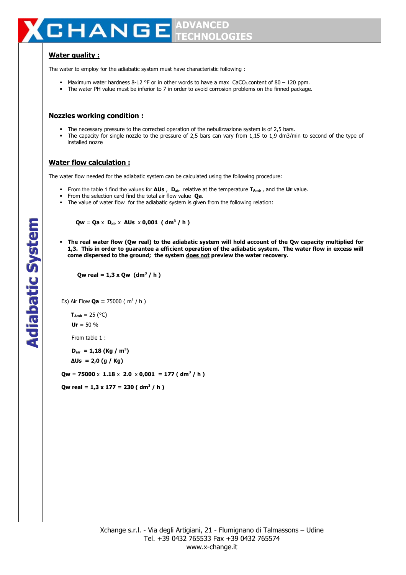#### **ADVANCED HANG** E **TECHNOLOGIES**

# **Water quality :**

The water to employ for the adiabatic system must have characteristic following :

- Maximum water hardness 8-12 °F or in other words to have a max CaCO<sub>3</sub> content of 80 120 ppm.
- The water PH value must be inferior to 7 in order to avoid corrosion problems on the finned package.

## **Nozzles working condition :**

- The necessary pressure to the corrected operation of the nebulizzazione system is of 2,5 bars.
- The capacity for single nozzle to the pressure of 2,5 bars can vary from 1,15 to 1,9 dm3/min to second of the type of installed nozze

## **Water flow calculation :**

The water flow needed for the adiabatic system can be calculated using the following procedure:

- From the table 1 find the values for **∆Us** , **Dair** relative at the temperature **TAmb** , and the **Ur** value.
- From the selection card find the total air flow value **Qa**.
- The value of water flow for the adiabatic system is given from the following relation:

 **Qw** = **Qa** x **Dair** x **∆Us** x **0,001 ( dm<sup>3</sup> / h )** 

 **The real water flow (Qw real) to the adiabatic system will hold account of the Qw capacity multiplied for 1,3. This in order to guarantee a efficient operation of the adiabatic system. The water flow in excess will come dispersed to the ground; the system does not preview the water recovery.**

**Qw real = 1,3 x Qw (dm<sup>3</sup> / h)** 

Es) Air Flow **Qa =** 75000 ( m<sup>3</sup> / h )

 $T_{Amb} = 25 (°C)$  $Ur = 50 %$ 

From table 1 :

 $D_{\text{air}} = 1,18$  (Kg / m<sup>3</sup>)

 **∆Us = 2,0 (g / Kg)**

**Qw** = **75000** x **1.18** x **2.0** x **0,001 = 177 ( dm<sup>3</sup> / h )** 

 $Qw$  real = 1,3 x 177 = 230 ( dm<sup>3</sup> / h )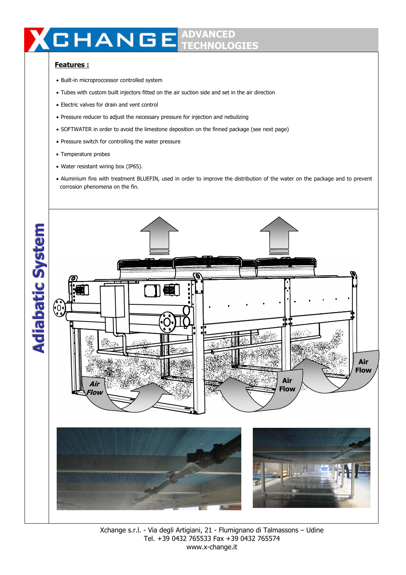# **ADVANCED TECHNOLOGIES**

# **Features :**

- Built-in microproccessor controlled system
- Tubes with custom built injectors fitted on the air suction side and set in the air direction
- Electric valves for drain and vent control
- Pressure reducer to adjust the necessary pressure for injection and nebulizing
- SOFTWATER in order to avoid the limestone deposition on the finned package (see next page)
- Pressure switch for controlling the water pressure
- Temperature probes
- Water resistant wiring box (IP65).
- Aluminium fins with treatment BLUEFIN, used in order to improve the distribution of the water on the package and to prevent corrosion phenomena on the fin.



Xchange s.r.l. - Via degli Artigiani, 21 - Flumignano di Talmassons – Udine Tel. +39 0432 765533 Fax +39 0432 765574 www.x-change.it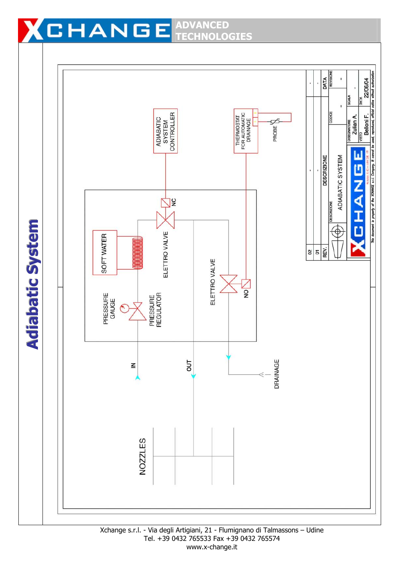#### **HANGE ADVANCED**  3 U **TECHNOLOGIES**

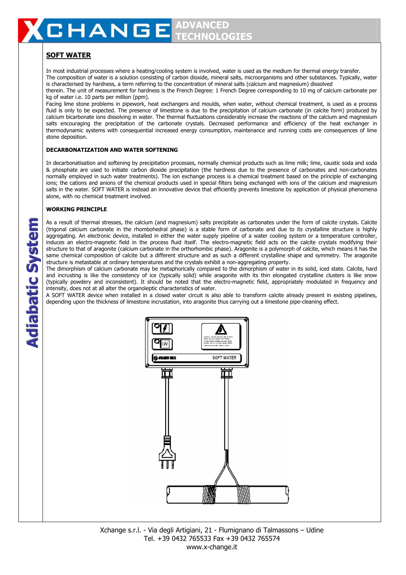# **SOFT WATER**

In most industrial processes where a heating/cooling system is involved, water is used as the medium for thermal energy transfer. The composition of water is a solution consisting of carbon dioxide, mineral salts, microorganisms and other substances. Typically, water is characterised by hardness, a term referring to the concentration of mineral salts (calcium and magnesium) dissolved therein. The unit of measurement for hardness is the French Degree: 1 French Degree corresponding to 10 mg of calcium carbonate per kg of water i.e. 10 parts per million (ppm).

Facing lime stone problems in pipework, heat exchangers and moulds, when water, without chemical treatment, is used as a process fluid is only to be expected. The presence of limestone is due to the precipitation of calcium carbonate (in calcite form) produced by calcium bicarbonate ions dissolving in water. The thermal fluctuations considerably increase the reactions of the calcium and magnesium salts encouraging the precipitation of the carbonate crystals. Decreased performance and efficiency of the heat exchanger in thermodynamic systems with consequential increased energy consumption, maintenance and running costs are consequences of lime stone deposition.

### **DECARBONATIZATION AND WATER SOFTENING**

In decarbonatisation and softening by precipitation processes, normally chemical products such as lime milk; lime, caustic soda and soda & phosphate are used to initiate carbon dioxide precipitation (the hardness due to the presence of carbonates and non-carbonates normally employed in such water treatments). The ion exchange process is a chemical treatment based on the principle of exchanging ions; the cations and anions of the chemical products used in special filters being exchanged with ions of the calcium and magnesium salts in the water. SOFT WATER is instead an innovative device that efficiently prevents limestone by application of physical phenomena alone, with no chemical treatment involved.

### **WORKING PRINCIPLE**

As a result of thermal stresses, the calcium (and magnesium) salts precipitate as carbonates under the form of calcite crystals. Calcite (trigonal calcium carbonate in the rhombohedral phase) is a stable form of carbonate and due to its crystalline structure is highly aggregating. An electronic device, installed in either the water supply pipeline of a water cooling system or a temperature controller, induces an electro-magnetic field in the process fluid itself. The electro-magnetic field acts on the calcite crystals modifying their structure to that of aragonite (calcium carbonate in the orthorhombic phase). Aragonite is a polymorph of calcite, which means it has the same chemical composition of calcite but a different structure and as such a different crystalline shape and symmetry. The aragonite structure is metastable at ordinary temperatures and the crystals exhibit a non-aggregating property.

The dimorphism of calcium carbonate may be metaphorically compared to the dimorphism of water in its solid, iced state. Calcite, hard and incrusting is like the consistency of ice (typically solid) while aragonite with its thin elongated crystalline clusters is like snow (typically powdery and inconsistent). It should be noted that the electro-magnetic field, appropriately modulated in frequency and intensity, does not at all alter the organoleptic characteristics of water.

A SOFT WATER device when installed in a closed water circuit is also able to transform calcite already present in existing pipelines, depending upon the thickness of limestone incrustation, into aragonite thus carrying out a limestone pipe-cleaning effect.